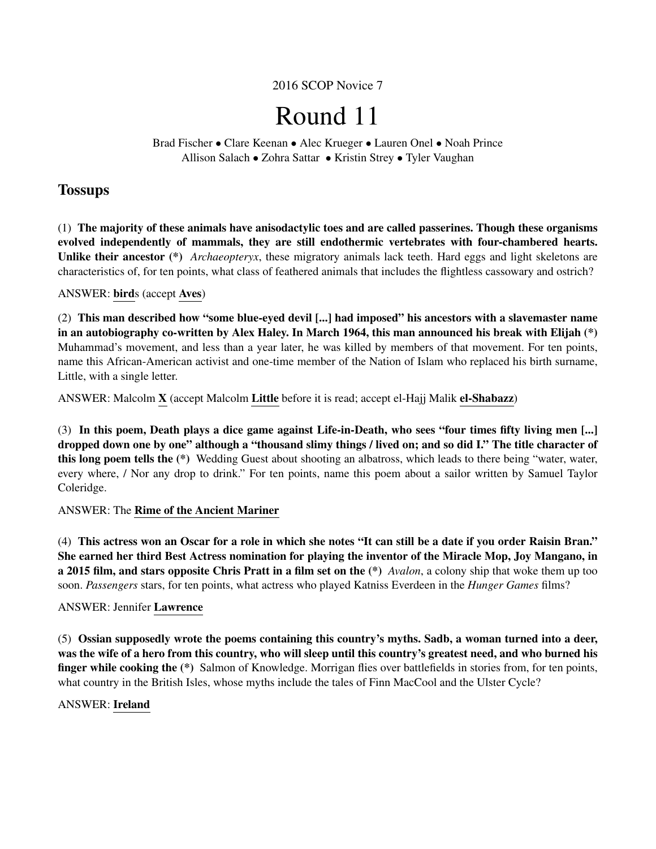2016 SCOP Novice 7

# Round 11

Brad Fischer • Clare Keenan • Alec Krueger • Lauren Onel • Noah Prince Allison Salach • Zohra Sattar • Kristin Strey • Tyler Vaughan

# **Tossups**

(1) The majority of these animals have anisodactylic toes and are called passerines. Though these organisms evolved independently of mammals, they are still endothermic vertebrates with four-chambered hearts. Unlike their ancestor (\*) *Archaeopteryx*, these migratory animals lack teeth. Hard eggs and light skeletons are characteristics of, for ten points, what class of feathered animals that includes the flightless cassowary and ostrich?

# ANSWER: birds (accept Aves)

(2) This man described how "some blue-eyed devil [...] had imposed" his ancestors with a slavemaster name in an autobiography co-written by Alex Haley. In March 1964, this man announced his break with Elijah (\*) Muhammad's movement, and less than a year later, he was killed by members of that movement. For ten points, name this African-American activist and one-time member of the Nation of Islam who replaced his birth surname, Little, with a single letter.

ANSWER: Malcolm X (accept Malcolm Little before it is read; accept el-Hajj Malik el-Shabazz)

(3) In this poem, Death plays a dice game against Life-in-Death, who sees "four times fifty living men [...] dropped down one by one" although a "thousand slimy things / lived on; and so did I." The title character of this long poem tells the (\*) Wedding Guest about shooting an albatross, which leads to there being "water, water, every where, / Nor any drop to drink." For ten points, name this poem about a sailor written by Samuel Taylor Coleridge.

# ANSWER: The Rime of the Ancient Mariner

(4) This actress won an Oscar for a role in which she notes "It can still be a date if you order Raisin Bran." She earned her third Best Actress nomination for playing the inventor of the Miracle Mop, Joy Mangano, in a 2015 film, and stars opposite Chris Pratt in a film set on the (\*) *Avalon*, a colony ship that woke them up too soon. *Passengers* stars, for ten points, what actress who played Katniss Everdeen in the *Hunger Games* films?

# ANSWER: Jennifer Lawrence

(5) Ossian supposedly wrote the poems containing this country's myths. Sadb, a woman turned into a deer, was the wife of a hero from this country, who will sleep until this country's greatest need, and who burned his finger while cooking the (\*) Salmon of Knowledge. Morrigan flies over battlefields in stories from, for ten points, what country in the British Isles, whose myths include the tales of Finn MacCool and the Ulster Cycle?

# ANSWER: Ireland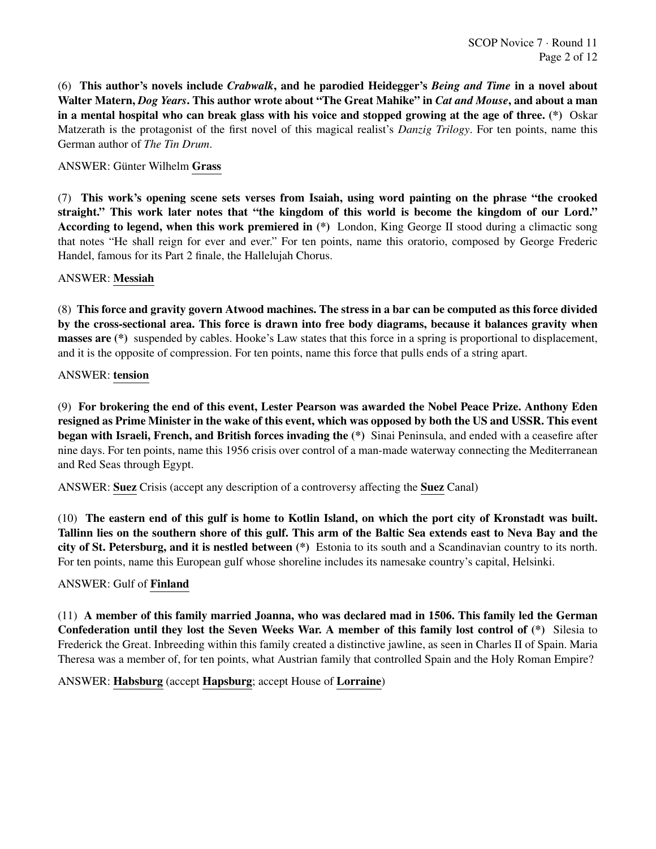(6) This author's novels include *Crabwalk*, and he parodied Heidegger's *Being and Time* in a novel about Walter Matern, *Dog Years*. This author wrote about "The Great Mahike" in *Cat and Mouse*, and about a man in a mental hospital who can break glass with his voice and stopped growing at the age of three. (\*) Oskar Matzerath is the protagonist of the first novel of this magical realist's *Danzig Trilogy*. For ten points, name this German author of *The Tin Drum*.

# ANSWER: Günter Wilhelm Grass

(7) This work's opening scene sets verses from Isaiah, using word painting on the phrase "the crooked straight." This work later notes that "the kingdom of this world is become the kingdom of our Lord." According to legend, when this work premiered in (\*) London, King George II stood during a climactic song that notes "He shall reign for ever and ever." For ten points, name this oratorio, composed by George Frederic Handel, famous for its Part 2 finale, the Hallelujah Chorus.

#### ANSWER: Messiah

(8) This force and gravity govern Atwood machines. The stress in a bar can be computed as this force divided by the cross-sectional area. This force is drawn into free body diagrams, because it balances gravity when masses are (\*) suspended by cables. Hooke's Law states that this force in a spring is proportional to displacement, and it is the opposite of compression. For ten points, name this force that pulls ends of a string apart.

#### ANSWER: tension

(9) For brokering the end of this event, Lester Pearson was awarded the Nobel Peace Prize. Anthony Eden resigned as Prime Minister in the wake of this event, which was opposed by both the US and USSR. This event began with Israeli, French, and British forces invading the (\*) Sinai Peninsula, and ended with a ceasefire after nine days. For ten points, name this 1956 crisis over control of a man-made waterway connecting the Mediterranean and Red Seas through Egypt.

ANSWER: Suez Crisis (accept any description of a controversy affecting the Suez Canal)

(10) The eastern end of this gulf is home to Kotlin Island, on which the port city of Kronstadt was built. Tallinn lies on the southern shore of this gulf. This arm of the Baltic Sea extends east to Neva Bay and the city of St. Petersburg, and it is nestled between (\*) Estonia to its south and a Scandinavian country to its north. For ten points, name this European gulf whose shoreline includes its namesake country's capital, Helsinki.

#### ANSWER: Gulf of Finland

(11) A member of this family married Joanna, who was declared mad in 1506. This family led the German Confederation until they lost the Seven Weeks War. A member of this family lost control of (\*) Silesia to Frederick the Great. Inbreeding within this family created a distinctive jawline, as seen in Charles II of Spain. Maria Theresa was a member of, for ten points, what Austrian family that controlled Spain and the Holy Roman Empire?

#### ANSWER: Habsburg (accept Hapsburg; accept House of Lorraine)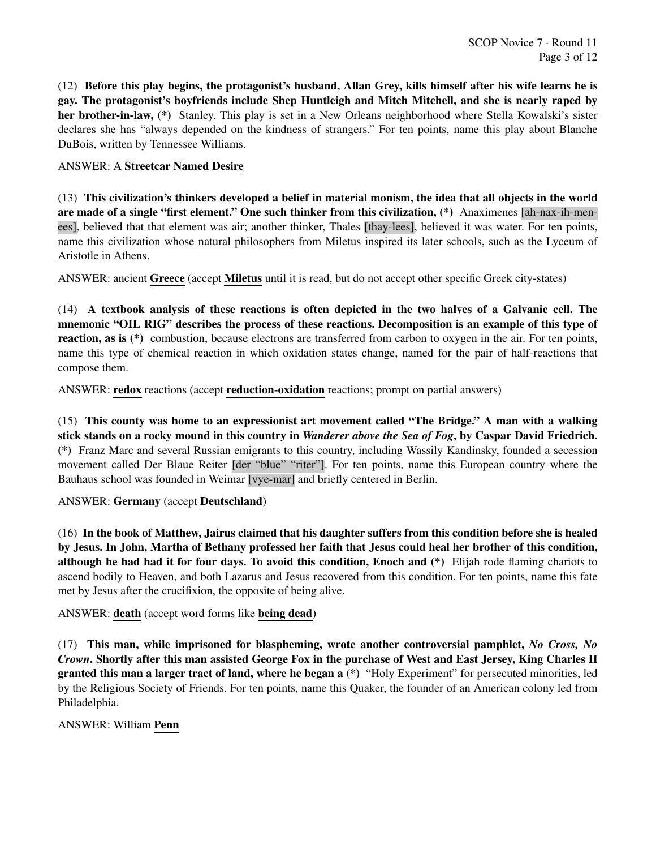(12) Before this play begins, the protagonist's husband, Allan Grey, kills himself after his wife learns he is gay. The protagonist's boyfriends include Shep Huntleigh and Mitch Mitchell, and she is nearly raped by her brother-in-law, (\*) Stanley. This play is set in a New Orleans neighborhood where Stella Kowalski's sister declares she has "always depended on the kindness of strangers." For ten points, name this play about Blanche DuBois, written by Tennessee Williams.

# ANSWER: A Streetcar Named Desire

(13) This civilization's thinkers developed a belief in material monism, the idea that all objects in the world are made of a single "first element." One such thinker from this civilization, (\*) Anaximenes [ah-nax-ih-menees], believed that that element was air; another thinker, Thales [thay-lees], believed it was water. For ten points, name this civilization whose natural philosophers from Miletus inspired its later schools, such as the Lyceum of Aristotle in Athens.

ANSWER: ancient Greece (accept Miletus until it is read, but do not accept other specific Greek city-states)

(14) A textbook analysis of these reactions is often depicted in the two halves of a Galvanic cell. The mnemonic "OIL RIG" describes the process of these reactions. Decomposition is an example of this type of reaction, as is (\*) combustion, because electrons are transferred from carbon to oxygen in the air. For ten points, name this type of chemical reaction in which oxidation states change, named for the pair of half-reactions that compose them.

ANSWER: redox reactions (accept reduction-oxidation reactions; prompt on partial answers)

(15) This county was home to an expressionist art movement called "The Bridge." A man with a walking stick stands on a rocky mound in this country in *Wanderer above the Sea of Fog*, by Caspar David Friedrich. (\*) Franz Marc and several Russian emigrants to this country, including Wassily Kandinsky, founded a secession movement called Der Blaue Reiter [der "blue" "riter"]. For ten points, name this European country where the Bauhaus school was founded in Weimar [vye-mar] and briefly centered in Berlin.

ANSWER: Germany (accept Deutschland)

(16) In the book of Matthew, Jairus claimed that his daughter suffers from this condition before she is healed by Jesus. In John, Martha of Bethany professed her faith that Jesus could heal her brother of this condition, although he had had it for four days. To avoid this condition, Enoch and (\*) Elijah rode flaming chariots to ascend bodily to Heaven, and both Lazarus and Jesus recovered from this condition. For ten points, name this fate met by Jesus after the crucifixion, the opposite of being alive.

ANSWER: death (accept word forms like being dead)

(17) This man, while imprisoned for blaspheming, wrote another controversial pamphlet, *No Cross, No Crown*. Shortly after this man assisted George Fox in the purchase of West and East Jersey, King Charles II granted this man a larger tract of land, where he began a (\*) "Holy Experiment" for persecuted minorities, led by the Religious Society of Friends. For ten points, name this Quaker, the founder of an American colony led from Philadelphia.

#### ANSWER: William Penn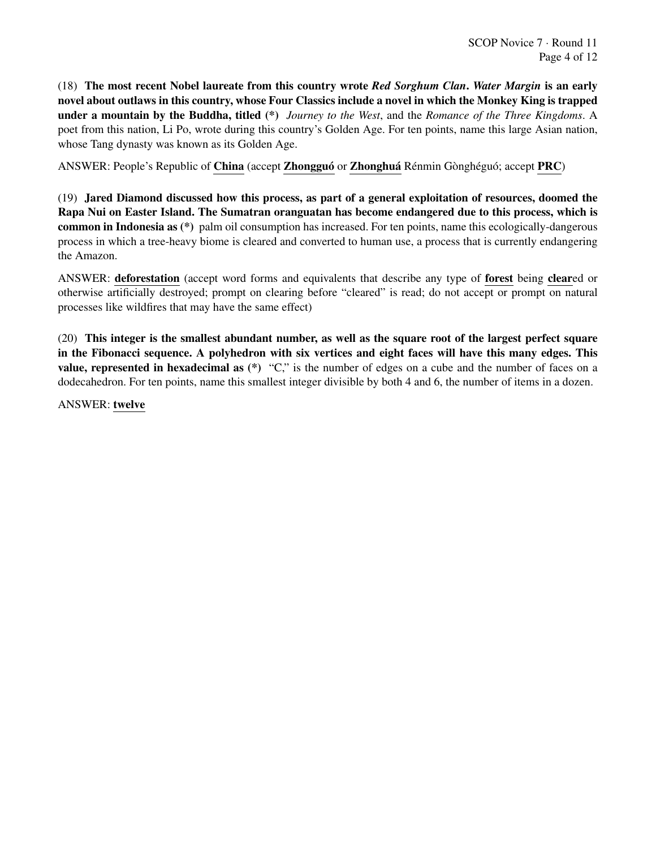(18) The most recent Nobel laureate from this country wrote *Red Sorghum Clan*. *Water Margin* is an early novel about outlaws in this country, whose Four Classics include a novel in which the Monkey King is trapped under a mountain by the Buddha, titled (\*) *Journey to the West*, and the *Romance of the Three Kingdoms*. A poet from this nation, Li Po, wrote during this country's Golden Age. For ten points, name this large Asian nation, whose Tang dynasty was known as its Golden Age.

ANSWER: People's Republic of China (accept Zhongguó or Zhonghuá Rénmin Gònghéguó; accept PRC)

(19) Jared Diamond discussed how this process, as part of a general exploitation of resources, doomed the Rapa Nui on Easter Island. The Sumatran oranguatan has become endangered due to this process, which is common in Indonesia as (\*) palm oil consumption has increased. For ten points, name this ecologically-dangerous process in which a tree-heavy biome is cleared and converted to human use, a process that is currently endangering the Amazon.

ANSWER: deforestation (accept word forms and equivalents that describe any type of forest being cleared or otherwise artificially destroyed; prompt on clearing before "cleared" is read; do not accept or prompt on natural processes like wildfires that may have the same effect)

(20) This integer is the smallest abundant number, as well as the square root of the largest perfect square in the Fibonacci sequence. A polyhedron with six vertices and eight faces will have this many edges. This **value, represented in hexadecimal as**  $(*)$  "C," is the number of edges on a cube and the number of faces on a dodecahedron. For ten points, name this smallest integer divisible by both 4 and 6, the number of items in a dozen.

ANSWER: twelve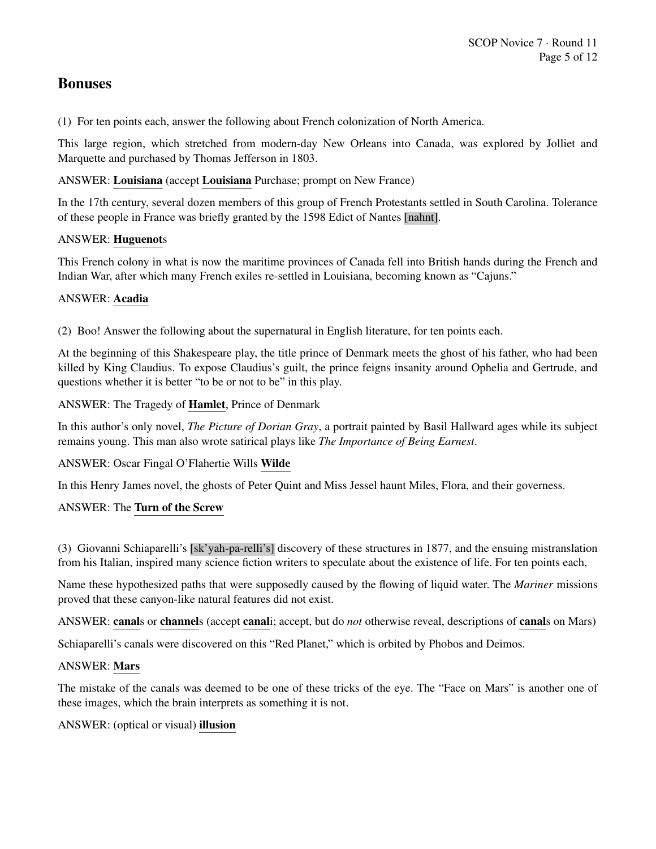# Bonuses

(1) For ten points each, answer the following about French colonization of North America.

This large region, which stretched from modern-day New Orleans into Canada, was explored by Jolliet and Marquette and purchased by Thomas Jefferson in 1803.

ANSWER: Louisiana (accept Louisiana Purchase; prompt on New France)

In the 17th century, several dozen members of this group of French Protestants settled in South Carolina. Tolerance of these people in France was briefly granted by the 1598 Edict of Nantes [nahnt].

# ANSWER: Huguenots

This French colony in what is now the maritime provinces of Canada fell into British hands during the French and Indian War, after which many French exiles re-settled in Louisiana, becoming known as "Cajuns."

# ANSWER: Acadia

(2) Boo! Answer the following about the supernatural in English literature, for ten points each.

At the beginning of this Shakespeare play, the title prince of Denmark meets the ghost of his father, who had been killed by King Claudius. To expose Claudius's guilt, the prince feigns insanity around Ophelia and Gertrude, and questions whether it is better "to be or not to be" in this play.

ANSWER: The Tragedy of Hamlet, Prince of Denmark

In this author's only novel, *The Picture of Dorian Gray*, a portrait painted by Basil Hallward ages while its subject remains young. This man also wrote satirical plays like *The Importance of Being Earnest*.

# ANSWER: Oscar Fingal O'Flahertie Wills Wilde

In this Henry James novel, the ghosts of Peter Quint and Miss Jessel haunt Miles, Flora, and their governess.

# ANSWER: The Turn of the Screw

(3) Giovanni Schiaparelli's [sk'yah-pa-relli's] discovery of these structures in 1877, and the ensuing mistranslation from his Italian, inspired many science fiction writers to speculate about the existence of life. For ten points each,

Name these hypothesized paths that were supposedly caused by the flowing of liquid water. The *Mariner* missions proved that these canyon-like natural features did not exist.

ANSWER: canals or channels (accept canali; accept, but do *not* otherwise reveal, descriptions of canals on Mars)

Schiaparelli's canals were discovered on this "Red Planet," which is orbited by Phobos and Deimos.

# ANSWER: Mars

The mistake of the canals was deemed to be one of these tricks of the eye. The "Face on Mars" is another one of these images, which the brain interprets as something it is not.

ANSWER: (optical or visual) illusion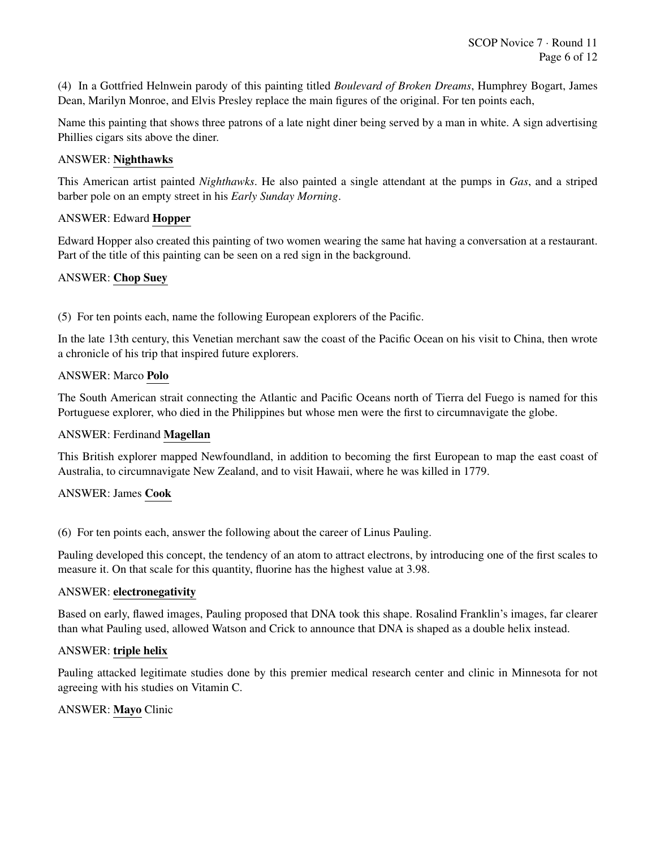SCOP Novice 7 · Round 11 Page 6 of 12

(4) In a Gottfried Helnwein parody of this painting titled *Boulevard of Broken Dreams*, Humphrey Bogart, James Dean, Marilyn Monroe, and Elvis Presley replace the main figures of the original. For ten points each,

Name this painting that shows three patrons of a late night diner being served by a man in white. A sign advertising Phillies cigars sits above the diner.

#### ANSWER: Nighthawks

This American artist painted *Nighthawks*. He also painted a single attendant at the pumps in *Gas*, and a striped barber pole on an empty street in his *Early Sunday Morning*.

#### ANSWER: Edward Hopper

Edward Hopper also created this painting of two women wearing the same hat having a conversation at a restaurant. Part of the title of this painting can be seen on a red sign in the background.

#### ANSWER: Chop Suey

(5) For ten points each, name the following European explorers of the Pacific.

In the late 13th century, this Venetian merchant saw the coast of the Pacific Ocean on his visit to China, then wrote a chronicle of his trip that inspired future explorers.

#### ANSWER: Marco Polo

The South American strait connecting the Atlantic and Pacific Oceans north of Tierra del Fuego is named for this Portuguese explorer, who died in the Philippines but whose men were the first to circumnavigate the globe.

#### ANSWER: Ferdinand Magellan

This British explorer mapped Newfoundland, in addition to becoming the first European to map the east coast of Australia, to circumnavigate New Zealand, and to visit Hawaii, where he was killed in 1779.

#### ANSWER: James Cook

(6) For ten points each, answer the following about the career of Linus Pauling.

Pauling developed this concept, the tendency of an atom to attract electrons, by introducing one of the first scales to measure it. On that scale for this quantity, fluorine has the highest value at 3.98.

#### ANSWER: electronegativity

Based on early, flawed images, Pauling proposed that DNA took this shape. Rosalind Franklin's images, far clearer than what Pauling used, allowed Watson and Crick to announce that DNA is shaped as a double helix instead.

#### ANSWER: triple helix

Pauling attacked legitimate studies done by this premier medical research center and clinic in Minnesota for not agreeing with his studies on Vitamin C.

#### ANSWER: Mayo Clinic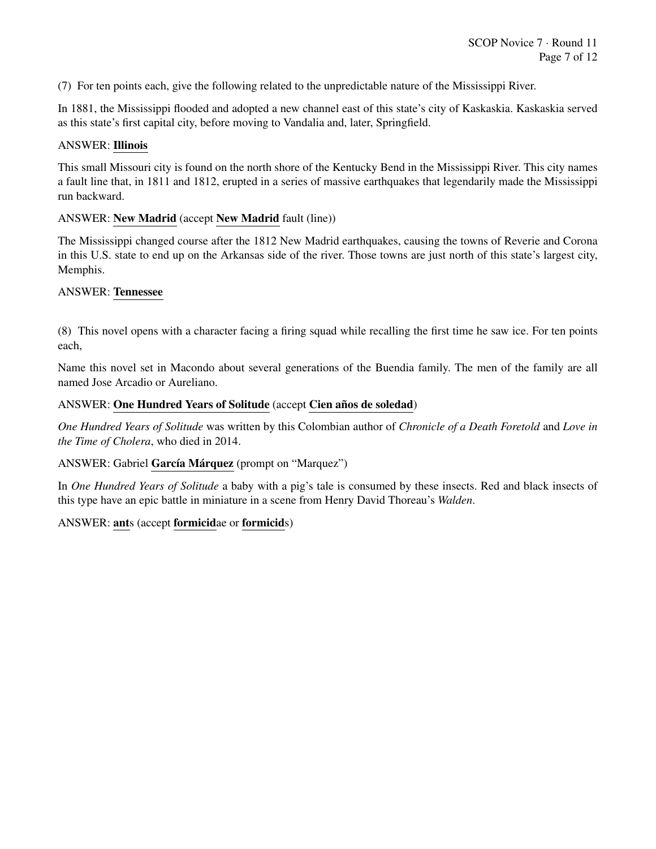(7) For ten points each, give the following related to the unpredictable nature of the Mississippi River.

In 1881, the Mississippi flooded and adopted a new channel east of this state's city of Kaskaskia. Kaskaskia served as this state's first capital city, before moving to Vandalia and, later, Springfield.

#### ANSWER: Illinois

This small Missouri city is found on the north shore of the Kentucky Bend in the Mississippi River. This city names a fault line that, in 1811 and 1812, erupted in a series of massive earthquakes that legendarily made the Mississippi run backward.

#### ANSWER: New Madrid (accept New Madrid fault (line))

The Mississippi changed course after the 1812 New Madrid earthquakes, causing the towns of Reverie and Corona in this U.S. state to end up on the Arkansas side of the river. Those towns are just north of this state's largest city, Memphis.

#### ANSWER: Tennessee

(8) This novel opens with a character facing a firing squad while recalling the first time he saw ice. For ten points each,

Name this novel set in Macondo about several generations of the Buendia family. The men of the family are all named Jose Arcadio or Aureliano.

#### ANSWER: One Hundred Years of Solitude (accept Cien años de soledad)

*One Hundred Years of Solitude* was written by this Colombian author of *Chronicle of a Death Foretold* and *Love in the Time of Cholera*, who died in 2014.

#### ANSWER: Gabriel García Márquez (prompt on "Marquez")

In *One Hundred Years of Solitude* a baby with a pig's tale is consumed by these insects. Red and black insects of this type have an epic battle in miniature in a scene from Henry David Thoreau's *Walden*.

#### ANSWER: ants (accept formicidae or formicids)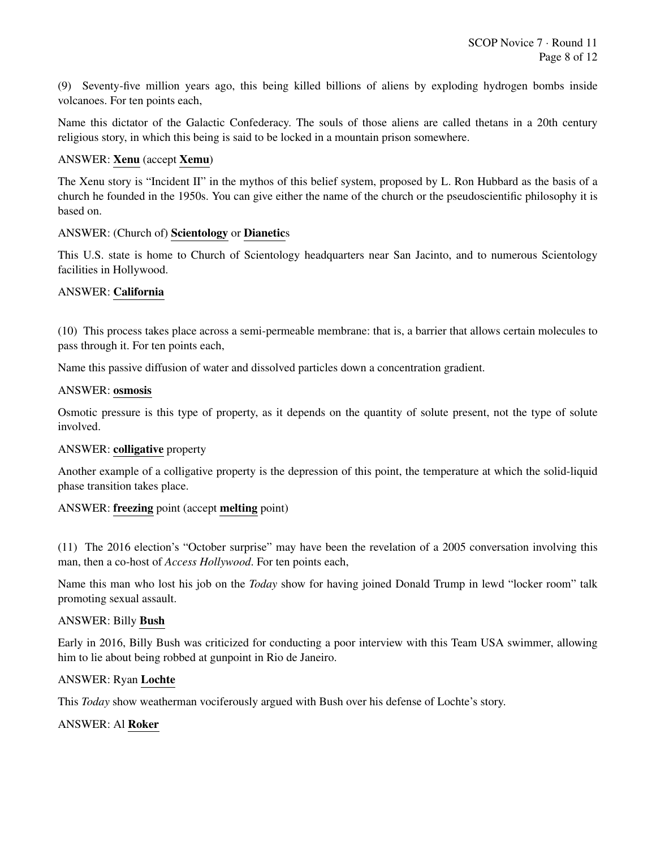(9) Seventy-five million years ago, this being killed billions of aliens by exploding hydrogen bombs inside volcanoes. For ten points each,

Name this dictator of the Galactic Confederacy. The souls of those aliens are called thetans in a 20th century religious story, in which this being is said to be locked in a mountain prison somewhere.

#### ANSWER: Xenu (accept Xemu)

The Xenu story is "Incident II" in the mythos of this belief system, proposed by L. Ron Hubbard as the basis of a church he founded in the 1950s. You can give either the name of the church or the pseudoscientific philosophy it is based on.

#### ANSWER: (Church of) Scientology or Dianetics

This U.S. state is home to Church of Scientology headquarters near San Jacinto, and to numerous Scientology facilities in Hollywood.

# ANSWER: California

(10) This process takes place across a semi-permeable membrane: that is, a barrier that allows certain molecules to pass through it. For ten points each,

Name this passive diffusion of water and dissolved particles down a concentration gradient.

#### ANSWER: osmosis

Osmotic pressure is this type of property, as it depends on the quantity of solute present, not the type of solute involved.

#### ANSWER: colligative property

Another example of a colligative property is the depression of this point, the temperature at which the solid-liquid phase transition takes place.

#### ANSWER: freezing point (accept melting point)

(11) The 2016 election's "October surprise" may have been the revelation of a 2005 conversation involving this man, then a co-host of *Access Hollywood*. For ten points each,

Name this man who lost his job on the *Today* show for having joined Donald Trump in lewd "locker room" talk promoting sexual assault.

#### ANSWER: Billy Bush

Early in 2016, Billy Bush was criticized for conducting a poor interview with this Team USA swimmer, allowing him to lie about being robbed at gunpoint in Rio de Janeiro.

#### ANSWER: Ryan Lochte

This *Today* show weatherman vociferously argued with Bush over his defense of Lochte's story.

#### ANSWER: Al Roker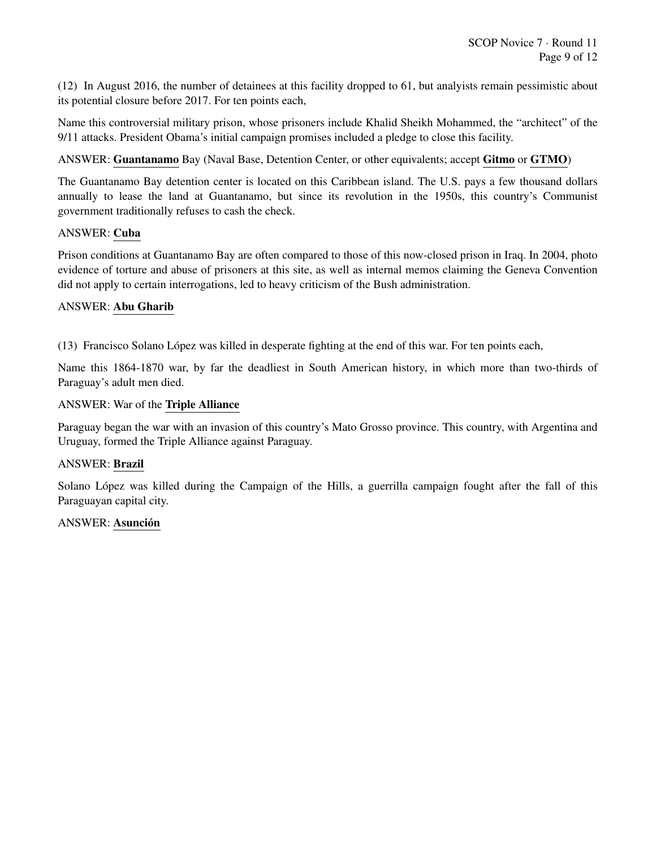(12) In August 2016, the number of detainees at this facility dropped to 61, but analyists remain pessimistic about its potential closure before 2017. For ten points each,

Name this controversial military prison, whose prisoners include Khalid Sheikh Mohammed, the "architect" of the 9/11 attacks. President Obama's initial campaign promises included a pledge to close this facility.

ANSWER: Guantanamo Bay (Naval Base, Detention Center, or other equivalents; accept Gitmo or GTMO)

The Guantanamo Bay detention center is located on this Caribbean island. The U.S. pays a few thousand dollars annually to lease the land at Guantanamo, but since its revolution in the 1950s, this country's Communist government traditionally refuses to cash the check.

#### ANSWER: Cuba

Prison conditions at Guantanamo Bay are often compared to those of this now-closed prison in Iraq. In 2004, photo evidence of torture and abuse of prisoners at this site, as well as internal memos claiming the Geneva Convention did not apply to certain interrogations, led to heavy criticism of the Bush administration.

# ANSWER: Abu Gharib

(13) Francisco Solano Lopez was killed in desperate fighting at the end of this war. For ten points each, ´

Name this 1864-1870 war, by far the deadliest in South American history, in which more than two-thirds of Paraguay's adult men died.

#### ANSWER: War of the Triple Alliance

Paraguay began the war with an invasion of this country's Mato Grosso province. This country, with Argentina and Uruguay, formed the Triple Alliance against Paraguay.

#### ANSWER: Brazil

Solano López was killed during the Campaign of the Hills, a guerrilla campaign fought after the fall of this Paraguayan capital city.

#### ANSWER: Asunción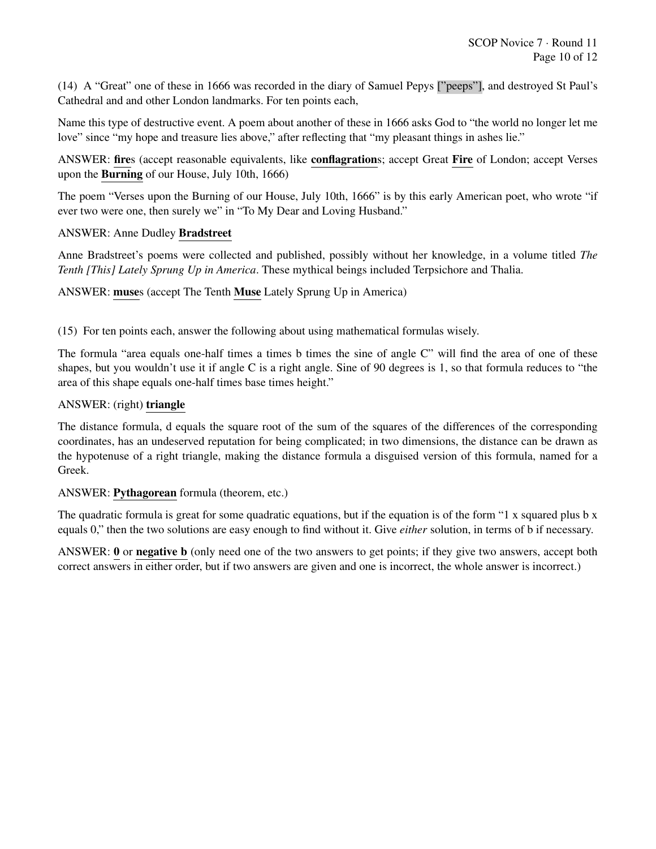(14) A "Great" one of these in 1666 was recorded in the diary of Samuel Pepys ["peeps"], and destroyed St Paul's Cathedral and and other London landmarks. For ten points each,

Name this type of destructive event. A poem about another of these in 1666 asks God to "the world no longer let me love" since "my hope and treasure lies above," after reflecting that "my pleasant things in ashes lie."

ANSWER: fires (accept reasonable equivalents, like conflagrations; accept Great Fire of London; accept Verses upon the Burning of our House, July 10th, 1666)

The poem "Verses upon the Burning of our House, July 10th, 1666" is by this early American poet, who wrote "if ever two were one, then surely we" in "To My Dear and Loving Husband."

#### ANSWER: Anne Dudley Bradstreet

Anne Bradstreet's poems were collected and published, possibly without her knowledge, in a volume titled *The Tenth [This] Lately Sprung Up in America*. These mythical beings included Terpsichore and Thalia.

ANSWER: muses (accept The Tenth Muse Lately Sprung Up in America)

(15) For ten points each, answer the following about using mathematical formulas wisely.

The formula "area equals one-half times a times b times the sine of angle C" will find the area of one of these shapes, but you wouldn't use it if angle C is a right angle. Sine of 90 degrees is 1, so that formula reduces to "the area of this shape equals one-half times base times height."

#### ANSWER: (right) triangle

The distance formula, d equals the square root of the sum of the squares of the differences of the corresponding coordinates, has an undeserved reputation for being complicated; in two dimensions, the distance can be drawn as the hypotenuse of a right triangle, making the distance formula a disguised version of this formula, named for a Greek.

#### ANSWER: Pythagorean formula (theorem, etc.)

The quadratic formula is great for some quadratic equations, but if the equation is of the form "1 x squared plus b x equals 0," then the two solutions are easy enough to find without it. Give *either* solution, in terms of b if necessary.

ANSWER: 0 or negative b (only need one of the two answers to get points; if they give two answers, accept both correct answers in either order, but if two answers are given and one is incorrect, the whole answer is incorrect.)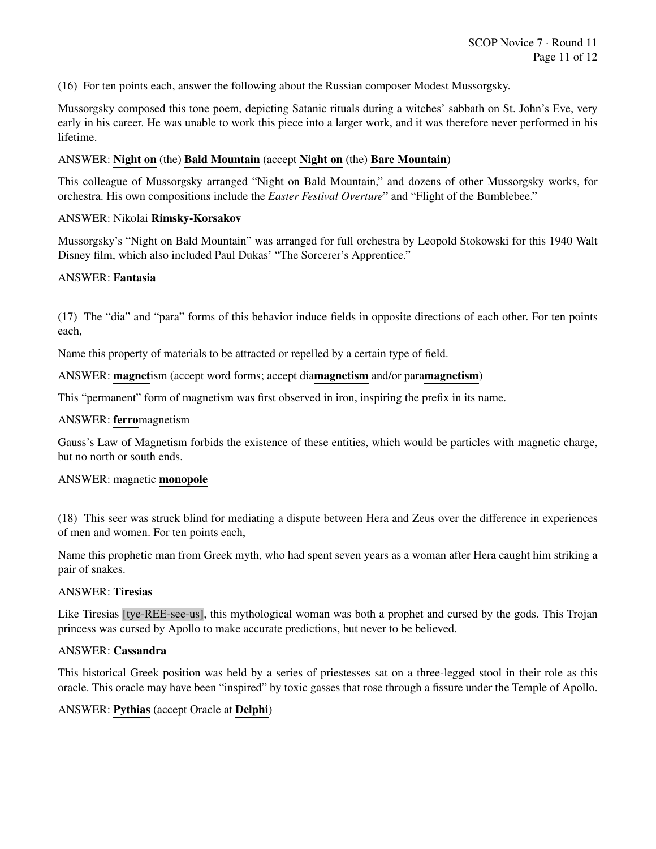(16) For ten points each, answer the following about the Russian composer Modest Mussorgsky.

Mussorgsky composed this tone poem, depicting Satanic rituals during a witches' sabbath on St. John's Eve, very early in his career. He was unable to work this piece into a larger work, and it was therefore never performed in his lifetime.

#### ANSWER: Night on (the) Bald Mountain (accept Night on (the) Bare Mountain)

This colleague of Mussorgsky arranged "Night on Bald Mountain," and dozens of other Mussorgsky works, for orchestra. His own compositions include the *Easter Festival Overture*" and "Flight of the Bumblebee."

#### ANSWER: Nikolai Rimsky-Korsakov

Mussorgsky's "Night on Bald Mountain" was arranged for full orchestra by Leopold Stokowski for this 1940 Walt Disney film, which also included Paul Dukas' "The Sorcerer's Apprentice."

#### ANSWER: Fantasia

(17) The "dia" and "para" forms of this behavior induce fields in opposite directions of each other. For ten points each,

Name this property of materials to be attracted or repelled by a certain type of field.

ANSWER: magnetism (accept word forms; accept diamagnetism and/or paramagnetism)

This "permanent" form of magnetism was first observed in iron, inspiring the prefix in its name.

#### ANSWER: ferromagnetism

Gauss's Law of Magnetism forbids the existence of these entities, which would be particles with magnetic charge, but no north or south ends.

#### ANSWER: magnetic monopole

(18) This seer was struck blind for mediating a dispute between Hera and Zeus over the difference in experiences of men and women. For ten points each,

Name this prophetic man from Greek myth, who had spent seven years as a woman after Hera caught him striking a pair of snakes.

#### ANSWER: Tiresias

Like Tiresias [tye-REE-see-us], this mythological woman was both a prophet and cursed by the gods. This Trojan princess was cursed by Apollo to make accurate predictions, but never to be believed.

#### ANSWER: Cassandra

This historical Greek position was held by a series of priestesses sat on a three-legged stool in their role as this oracle. This oracle may have been "inspired" by toxic gasses that rose through a fissure under the Temple of Apollo.

#### ANSWER: Pythias (accept Oracle at Delphi)